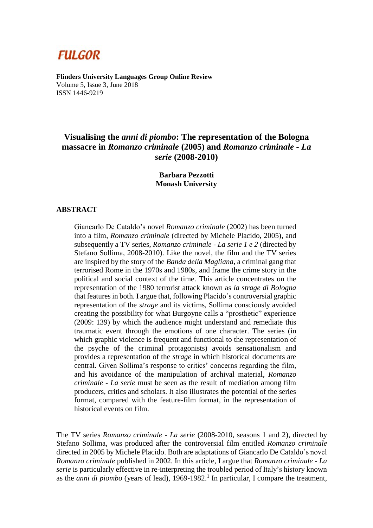# **FULGOR**

**Flinders University Languages Group Online Review** Volume 5, Issue 3, June 2018 ISSN 1446-9219

## **Visualising the** *anni di piombo***: The representation of the Bologna massacre in** *Romanzo criminale* **(2005) and** *Romanzo criminale - La serie* **(2008-2010)**

### **Barbara Pezzotti Monash University**

### **ABSTRACT**

Giancarlo De Cataldo's novel *Romanzo criminale* (2002) has been turned into a film, *Romanzo criminale* (directed by Michele Placido, 2005), and subsequently a TV series, *Romanzo criminale - La serie 1 e 2* (directed by Stefano Sollima, 2008-2010). Like the novel, the film and the TV series are inspired by the story of the *Banda della Magliana*, a criminal gang that terrorised Rome in the 1970s and 1980s, and frame the crime story in the political and social context of the time. This article concentrates on the representation of the 1980 terrorist attack known as *la strage di Bologna* that features in both. I argue that, following Placido's controversial graphic representation of the *strage* and its victims, Sollima consciously avoided creating the possibility for what Burgoyne calls a "prosthetic" experience (2009: 139) by which the audience might understand and remediate this traumatic event through the emotions of one character. The series (in which graphic violence is frequent and functional to the representation of the psyche of the criminal protagonists) avoids sensationalism and provides a representation of the *strage* in which historical documents are central. Given Sollima's response to critics' concerns regarding the film, and his avoidance of the manipulation of archival material, *Romanzo criminale - La serie* must be seen as the result of mediation among film producers, critics and scholars. It also illustrates the potential of the series format, compared with the feature-film format, in the representation of historical events on film.

The TV series *Romanzo criminale - La serie* (2008-2010, seasons 1 and 2), directed by Stefano Sollima, was produced after the controversial film entitled *Romanzo criminale* directed in 2005 by Michele Placido. Both are adaptations of Giancarlo De Cataldo's novel *Romanzo criminale* published in 2002. In this article, I argue that *Romanzo criminale - La serie* is particularly effective in re-interpreting the troubled period of Italy's history known as the *anni di piombo* (years of lead), 1969-1982. 1 In particular, I compare the treatment,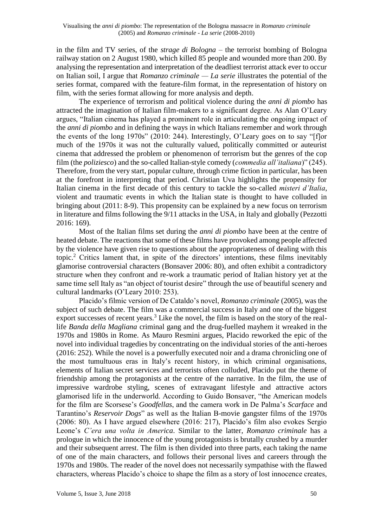in the film and TV series, of the *strage di Bologna* – the terrorist bombing of Bologna railway station on 2 August 1980, which killed 85 people and wounded more than 200. By analysing the representation and interpretation of the deadliest terrorist attack ever to occur on Italian soil, I argue that *Romanzo criminale — La serie* illustrates the potential of the series format, compared with the feature-film format, in the representation of history on film, with the series format allowing for more analysis and depth.

The experience of terrorism and political violence during the *anni di piombo* has attracted the imagination of Italian film-makers to a significant degree. As Alan O'Leary argues, "Italian cinema has played a prominent role in articulating the ongoing impact of the *anni di piombo* and in defining the ways in which Italians remember and work through the events of the long 1970s" (2010: 244). Interestingly, O'Leary goes on to say "[f]or much of the 1970s it was not the culturally valued, politically committed or auteurist cinema that addressed the problem or phenomenon of terrorism but the genres of the cop film (the *poliziesco*) and the so-called Italian-style comedy (*commedia all'italiana*)" (245). Therefore, from the very start, popular culture, through crime fiction in particular, has been at the forefront in interpreting that period. Christian Uva highlights the propensity for Italian cinema in the first decade of this century to tackle the so-called *misteri d'Italia*, violent and traumatic events in which the Italian state is thought to have colluded in bringing about (2011: 8-9). This propensity can be explained by a new focus on terrorism in literature and films following the 9/11 attacks in the USA, in Italy and globally (Pezzotti 2016: 169).

Most of the Italian films set during the *anni di piombo* have been at the centre of heated debate. The reactions that some of these films have provoked among people affected by the violence have given rise to questions about the appropriateness of dealing with this topic.<sup>2</sup> Critics lament that, in spite of the directors' intentions, these films inevitably glamorise controversial characters (Bonsaver 2006: 80), and often exhibit a contradictory structure when they confront and re-work a traumatic period of Italian history yet at the same time sell Italy as "an object of tourist desire" through the use of beautiful scenery and cultural landmarks (O'Leary 2010: 253).

Placido's filmic version of De Cataldo's novel, *Romanzo criminale* (2005), was the subject of such debate. The film was a commercial success in Italy and one of the biggest export successes of recent years.<sup>3</sup> Like the novel, the film is based on the story of the reallife *Banda della Magliana* criminal gang and the drug-fuelled mayhem it wreaked in the 1970s and 1980s in Rome. As Mauro Resmini argues, Placido reworked the epic of the novel into individual tragedies by concentrating on the individual stories of the anti-heroes (2016: 252). While the novel is a powerfully executed noir and a drama chronicling one of the most tumultuous eras in Italy's recent history, in which criminal organisations, elements of Italian secret services and terrorists often colluded, Placido put the theme of friendship among the protagonists at the centre of the narrative. In the film, the use of impressive wardrobe styling, scenes of extravagant lifestyle and attractive actors glamorised life in the underworld. According to Guido Bonsaver, "the American models for the film are Scorsese's *Goodfellas*, and the camera work in De Palma's *Scarface* and Tarantino's *Reservoir Dogs*" as well as the Italian B-movie gangster films of the 1970s (2006: 80). As I have argued elsewhere (2016: 217), Placido's film also evokes Sergio Leone's *C'era una volta in America*. Similar to the latter, *Romanzo criminale* has a prologue in which the innocence of the young protagonists is brutally crushed by a murder and their subsequent arrest. The film is then divided into three parts, each taking the name of one of the main characters, and follows their personal lives and careers through the 1970s and 1980s. The reader of the novel does not necessarily sympathise with the flawed characters, whereas Placido's choice to shape the film as a story of lost innocence creates,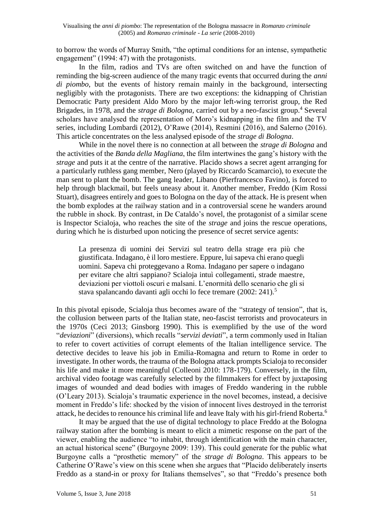to borrow the words of Murray Smith, "the optimal conditions for an intense, sympathetic engagement" (1994: 47) with the protagonists.

In the film, radios and TVs are often switched on and have the function of reminding the big-screen audience of the many tragic events that occurred during the *anni di piombo*, but the events of history remain mainly in the background, intersecting negligibly with the protagonists. There are two exceptions: the kidnapping of Christian Democratic Party president Aldo Moro by the major left-wing terrorist group, the Red Brigades, in 1978, and the *strage di Bologna*, carried out by a neo-fascist group.<sup>4</sup> Several scholars have analysed the representation of Moro's kidnapping in the film and the TV series, including Lombardi (2012), O'Rawe (2014), Resmini (2016), and Salerno (2016). This article concentrates on the less analysed episode of the *strage di Bologna*.

While in the novel there is no connection at all between the *strage di Bologna* and the activities of the *Banda della Magliana*, the film intertwines the gang's history with the *strage* and puts it at the centre of the narrative. Placido shows a secret agent arranging for a particularly ruthless gang member, Nero (played by Riccardo Scamarcio), to execute the man sent to plant the bomb. The gang leader, Libano (Pierfrancesco Favino), is forced to help through blackmail, but feels uneasy about it. Another member, Freddo (Kim Rossi Stuart), disagrees entirely and goes to Bologna on the day of the attack. He is present when the bomb explodes at the railway station and in a controversial scene he wanders around the rubble in shock. By contrast, in De Cataldo's novel, the protagonist of a similar scene is Inspector Scialoja, who reaches the site of the *strage* and joins the rescue operations, during which he is disturbed upon noticing the presence of secret service agents:

La presenza di uomini dei Servizi sul teatro della strage era più che giustificata. Indagano, è il loro mestiere. Eppure, lui sapeva chi erano quegli uomini. Sapeva chi proteggevano a Roma. Indagano per sapere o indagano per evitare che altri sappiano? Scialoja intuì collegamenti, strade maestre, deviazioni per viottoli oscuri e malsani. L'enormità dello scenario che gli si stava spalancando davanti agli occhi lo fece tremare (2002: 241).<sup>5</sup>

In this pivotal episode, Scialoja thus becomes aware of the "strategy of tension", that is, the collusion between parts of the Italian state, neo-fascist terrorists and provocateurs in the 1970s (Ceci 2013; Ginsborg 1990). This is exemplified by the use of the word "*deviazioni*" (diversions), which recalls "*servizi deviati*", a term commonly used in Italian to refer to covert activities of corrupt elements of the Italian intelligence service. The detective decides to leave his job in Emilia-Romagna and return to Rome in order to investigate. In other words, the trauma of the Bologna attack prompts Scialoja to reconsider his life and make it more meaningful (Colleoni 2010: 178-179). Conversely, in the film, archival video footage was carefully selected by the filmmakers for effect by juxtaposing images of wounded and dead bodies with images of Freddo wandering in the rubble (O'Leary 2013). Scialoja's traumatic experience in the novel becomes, instead, a decisive moment in Freddo's life: shocked by the vision of innocent lives destroyed in the terrorist attack, he decides to renounce his criminal life and leave Italy with his girl-friend Roberta.<sup>6</sup>

It may be argued that the use of digital technology to place Freddo at the Bologna railway station after the bombing is meant to elicit a mimetic response on the part of the viewer, enabling the audience "to inhabit, through identification with the main character, an actual historical scene" (Burgoyne 2009: 139). This could generate for the public what Burgoyne calls a "prosthetic memory" of the *strage di Bologna*. This appears to be Catherine O'Rawe's view on this scene when she argues that "Placido deliberately inserts Freddo as a stand-in or proxy for Italians themselves", so that "Freddo's presence both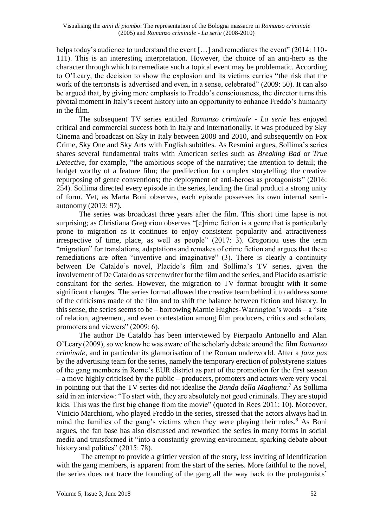helps today's audience to understand the event [...] and remediates the event" (2014: 110-111). This is an interesting interpretation. However, the choice of an anti-hero as the character through which to remediate such a topical event may be problematic. According to O'Leary, the decision to show the explosion and its victims carries "the risk that the work of the terrorists is advertised and even, in a sense, celebrated" (2009: 50). It can also be argued that, by giving more emphasis to Freddo's consciousness, the director turns this pivotal moment in Italy's recent history into an opportunity to enhance Freddo's humanity in the film.

The subsequent TV series entitled *Romanzo criminale - La serie* has enjoyed critical and commercial success both in Italy and internationally. It was produced by Sky Cinema and broadcast on Sky in Italy between 2008 and 2010, and subsequently on Fox Crime, Sky One and Sky Arts with English subtitles. As Resmini argues, Sollima's series shares several fundamental traits with American series such as *Breaking Bad* or *True Detective*, for example, "the ambitious scope of the narrative; the attention to detail; the budget worthy of a feature film; the predilection for complex storytelling; the creative repurposing of genre conventions; the deployment of anti-heroes as protagonists" (2016: 254). Sollima directed every episode in the series, lending the final product a strong unity of form. Yet, as Marta Boni observes, each episode possesses its own internal semiautonomy (2013: 97).

The series was broadcast three years after the film. This short time lapse is not surprising; as Christiana Gregoriou observes "[c]rime fiction is a genre that is particularly prone to migration as it continues to enjoy consistent popularity and attractiveness irrespective of time, place, as well as people" (2017: 3). Gregoriou uses the term "migration" for translations, adaptations and remakes of crime fiction and argues that these remediations are often "inventive and imaginative" (3). There is clearly a continuity between De Cataldo's novel, Placido's film and Sollima's TV series, given the involvement of De Cataldo as screenwriter for the film and the series, and Placido as artistic consultant for the series. However, the migration to TV format brought with it some significant changes. The series format allowed the creative team behind it to address some of the criticisms made of the film and to shift the balance between fiction and history. In this sense, the series seems to be – borrowing Marnie Hughes-Warrington's words –  $a$  "site" of relation, agreement, and even contestation among film producers, critics and scholars, promoters and viewers" (2009: 6).

The author De Cataldo has been interviewed by Pierpaolo Antonello and Alan O'Leary (2009), so we know he was aware of the scholarly debate around the film *Romanzo criminale*, and in particular its glamorisation of the Roman underworld. After a *faux pas* by the advertising team for the series, namely the temporary erection of polystyrene statues of the gang members in Rome's EUR district as part of the promotion for the first season – a move highly criticised by the public – producers, promoters and actors were very vocal in pointing out that the TV series did not idealise the *Banda della Magliana*. <sup>7</sup> As Sollima said in an interview: "To start with, they are absolutely not good criminals. They are stupid kids. This was the first big change from the movie" (quoted in Rees 2011: 10). Moreover, Vinicio Marchioni, who played Freddo in the series, stressed that the actors always had in mind the families of the gang's victims when they were playing their roles.<sup>8</sup> As Boni argues, the fan base has also discussed and reworked the series in many forms in social media and transformed it "into a constantly growing environment, sparking debate about history and politics" (2015: 78).

The attempt to provide a grittier version of the story, less inviting of identification with the gang members, is apparent from the start of the series. More faithful to the novel, the series does not trace the founding of the gang all the way back to the protagonists'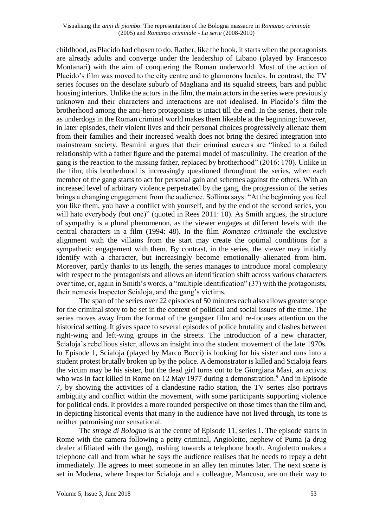childhood, as Placido had chosen to do. Rather, like the book, it starts when the protagonists are already adults and converge under the leadership of Libano (played by Francesco Montanari) with the aim of conquering the Roman underworld. Most of the action of Placido's film was moved to the city centre and to glamorous locales. In contrast, the TV series focuses on the desolate suburb of Magliana and its squalid streets, bars and public housing interiors. Unlike the actors in the film, the main actors in the series were previously unknown and their characters and interactions are not idealised. In Placido's film the brotherhood among the anti-hero protagonists is intact till the end. In the series, their role as underdogs in the Roman criminal world makes them likeable at the beginning; however, in later episodes, their violent lives and their personal choices progressively alienate them from their families and their increased wealth does not bring the desired integration into mainstream society. Resmini argues that their criminal careers are "linked to a failed relationship with a father figure and the paternal model of masculinity. The creation of the gang is the reaction to the missing father, replaced by brotherhood" (2016: 170). Unlike in the film, this brotherhood is increasingly questioned throughout the series, when each member of the gang starts to act for personal gain and schemes against the others. With an increased level of arbitrary violence perpetrated by the gang, the progression of the series brings a changing engagement from the audience. Sollima says: "At the beginning you feel you like them, you have a conflict with yourself, and by the end of the second series, you will hate everybody (but one)" (quoted in Rees 2011: 10). As Smith argues, the structure of sympathy is a plural phenomenon, as the viewer engages at different levels with the central characters in a film (1994: 48). In the film *Romanzo criminale* the exclusive alignment with the villains from the start may create the optimal conditions for a sympathetic engagement with them. By contrast, in the series, the viewer may initially identify with a character, but increasingly become emotionally alienated from him. Moreover, partly thanks to its length, the series manages to introduce moral complexity with respect to the protagonists and allows an identification shift across various characters over time, or, again in Smith's words, a "multiple identification" (37) with the protagonists, their nemesis Inspector Scialoja, and the gang's victims.

The span of the series over 22 episodes of 50 minutes each also allows greater scope for the criminal story to be set in the context of political and social issues of the time. The series moves away from the format of the gangster film and re-focuses attention on the historical setting. It gives space to several episodes of police brutality and clashes between right-wing and left-wing groups in the streets. The introduction of a new character, Scialoja's rebellious sister, allows an insight into the student movement of the late 1970s. In Episode 1, Scialoja (played by Marco Bocci) is looking for his sister and runs into a student protest brutally broken up by the police. A demonstrator is killed and Scialoja fears the victim may be his sister, but the dead girl turns out to be Giorgiana Masi, an activist who was in fact killed in Rome on 12 May 1977 during a demonstration.<sup>9</sup> And in Episode 7, by showing the activities of a clandestine radio station, the TV series also portrays ambiguity and conflict within the movement, with some participants supporting violence for political ends. It provides a more rounded perspective on those times than the film and, in depicting historical events that many in the audience have not lived through, its tone is neither patronising nor sensational.

The *strage di Bologna* is at the centre of Episode 11, series 1. The episode starts in Rome with the camera following a petty criminal, Angioletto, nephew of Puma (a drug dealer affiliated with the gang), rushing towards a telephone booth. Angioletto makes a telephone call and from what he says the audience realises that he needs to repay a debt immediately. He agrees to meet someone in an alley ten minutes later. The next scene is set in Modena, where Inspector Scialoja and a colleague, Mancuso, are on their way to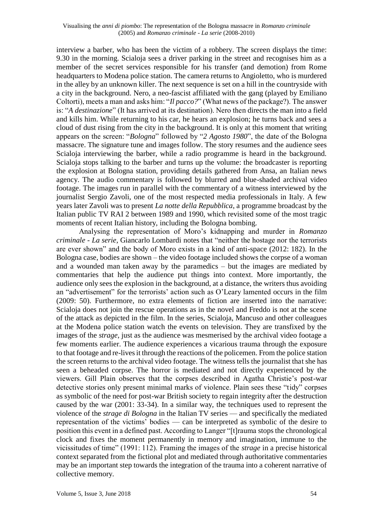interview a barber, who has been the victim of a robbery. The screen displays the time: 9.30 in the morning. Scialoja sees a driver parking in the street and recognises him as a member of the secret services responsible for his transfer (and demotion) from Rome headquarters to Modena police station. The camera returns to Angioletto, who is murdered in the alley by an unknown killer. The next sequence is set on a hill in the countryside with a city in the background. Nero, a neo-fascist affiliated with the gang (played by Emiliano Coltorti), meets a man and asks him: "*Il pacco?*" (What news of the package?). The answer is: "*A destinazione*" (It has arrived at its destination). Nero then directs the man into a field and kills him. While returning to his car, he hears an explosion; he turns back and sees a cloud of dust rising from the city in the background. It is only at this moment that writing appears on the screen: "*Bologna*" followed by "*2 Agosto 1980*", the date of the Bologna massacre. The signature tune and images follow. The story resumes and the audience sees Scialoja interviewing the barber, while a radio programme is heard in the background. Scialoja stops talking to the barber and turns up the volume: the broadcaster is reporting the explosion at Bologna station, providing details gathered from Ansa, an Italian news agency. The audio commentary is followed by blurred and blue-shaded archival video footage. The images run in parallel with the commentary of a witness interviewed by the journalist Sergio Zavoli, one of the most respected media professionals in Italy. A few years later Zavoli was to present *La notte della Repubblica*, a programme broadcast by the Italian public TV RAI 2 between 1989 and 1990, which revisited some of the most tragic moments of recent Italian history, including the Bologna bombing.

Analysing the representation of Moro's kidnapping and murder in *Romanzo criminale - La serie*, Giancarlo Lombardi notes that "neither the hostage nor the terrorists are ever shown" and the body of Moro exists in a kind of anti-space (2012: 182). In the Bologna case, bodies are shown – the video footage included shows the corpse of a woman and a wounded man taken away by the paramedics – but the images are mediated by commentaries that help the audience put things into context. More importantly, the audience only sees the explosion in the background, at a distance, the writers thus avoiding an "advertisement" for the terrorists' action such as O'Leary lamented occurs in the film (2009: 50). Furthermore, no extra elements of fiction are inserted into the narrative: Scialoja does not join the rescue operations as in the novel and Freddo is not at the scene of the attack as depicted in the film. In the series, Scialoja, Mancuso and other colleagues at the Modena police station watch the events on television. They are transfixed by the images of the *strage*, just as the audience was mesmerised by the archival video footage a few moments earlier. The audience experiences a vicarious trauma through the exposure to that footage and re-lives it through the reactions of the policemen. From the police station the screen returns to the archival video footage. The witness tells the journalist that she has seen a beheaded corpse. The horror is mediated and not directly experienced by the viewers. Gill Plain observes that the corpses described in Agatha Christie's post-war detective stories only present minimal marks of violence. Plain sees these "tidy" corpses as symbolic of the need for post-war British society to regain integrity after the destruction caused by the war (2001: 33-34). In a similar way, the techniques used to represent the violence of the *strage di Bologna* in the Italian TV series — and specifically the mediated representation of the victims' bodies — can be interpreted as symbolic of the desire to position this event in a defined past. According to Langer "[t]rauma stops the chronological clock and fixes the moment permanently in memory and imagination, immune to the vicissitudes of time" (1991: 112). Framing the images of the *strage* in a precise historical context separated from the fictional plot and mediated through authoritative commentaries may be an important step towards the integration of the trauma into a coherent narrative of collective memory.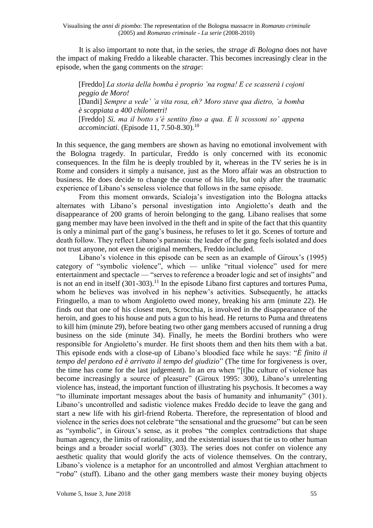It is also important to note that, in the series, the *strage di Bologna* does not have the impact of making Freddo a likeable character. This becomes increasingly clear in the episode, when the gang comments on the *strage*:

[Freddo] *La storia della bomba è proprio 'na rogna! E ce scasserà i cojoni peggio de Moro!* [Dandi] *Sempre a vede' 'a vita rosa, eh? Moro stave qua dietro, 'a bomba è scoppiata a 400 chilometri!* [Freddo] *Sì, ma il botto s'è sentito fino a qua. E li scossoni so' appena accominciati.* (Episode 11, 7.50-8.30).<sup>10</sup>

In this sequence, the gang members are shown as having no emotional involvement with the Bologna tragedy. In particular, Freddo is only concerned with its economic consequences. In the film he is deeply troubled by it, whereas in the TV series he is in Rome and considers it simply a nuisance, just as the Moro affair was an obstruction to business. He does decide to change the course of his life, but only after the traumatic experience of Libano's senseless violence that follows in the same episode.

From this moment onwards, Scialoja's investigation into the Bologna attacks alternates with Libano's personal investigation into Angioletto's death and the disappearance of 200 grams of heroin belonging to the gang. Libano realises that some gang member may have been involved in the theft and in spite of the fact that this quantity is only a minimal part of the gang's business, he refuses to let it go. Scenes of torture and death follow. They reflect Libano's paranoia: the leader of the gang feels isolated and does not trust anyone, not even the original members, Freddo included.

Libano's violence in this episode can be seen as an example of Giroux's (1995) category of "symbolic violence", which — unlike "ritual violence" used for mere entertainment and spectacle — "serves to reference a broader logic and set of insights" and is not an end in itself  $(301-303)$ .<sup>11</sup> In the episode Libano first captures and tortures Puma, whom he believes was involved in his nephew's activities. Subsequently, he attacks Fringuello, a man to whom Angioletto owed money, breaking his arm (minute 22). He finds out that one of his closest men, Scrocchia, is involved in the disappearance of the heroin, and goes to his house and puts a gun to his head. He returns to Puma and threatens to kill him (minute 29), before beating two other gang members accused of running a drug business on the side (minute 34). Finally, he meets the Bordini brothers who were responsible for Angioletto's murder. He first shoots them and then hits them with a bat. This episode ends with a close-up of Libano's bloodied face while he says: "*È finito il tempo del perdono ed è arrivato il tempo del giudizio*" (The time for forgiveness is over, the time has come for the last judgement). In an era when "[t]he culture of violence has become increasingly a source of pleasure" (Giroux 1995: 300), Libano's unrelenting violence has, instead, the important function of illustrating his psychosis. It becomes a way "to illuminate important messages about the basis of humanity and inhumanity" (301). Libano's uncontrolled and sadistic violence makes Freddo decide to leave the gang and start a new life with his girl-friend Roberta. Therefore, the representation of blood and violence in the series does not celebrate "the sensational and the gruesome" but can be seen as "symbolic", in Giroux's sense, as it probes "the complex contradictions that shape human agency, the limits of rationality, and the existential issues that tie us to other human beings and a broader social world" (303). The series does not confer on violence any aesthetic quality that would glorify the acts of violence themselves. On the contrary, Libano's violence is a metaphor for an uncontrolled and almost Verghian attachment to "*roba*" (stuff). Libano and the other gang members waste their money buying objects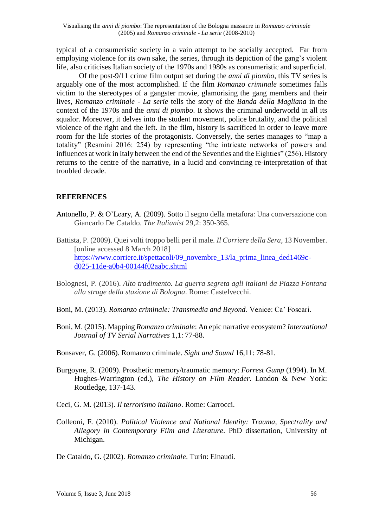Visualising the *anni di piombo*: The representation of the Bologna massacre in *Romanzo criminale* (2005) and *Romanzo criminale - La serie* (2008-2010)

typical of a consumeristic society in a vain attempt to be socially accepted. Far from employing violence for its own sake, the series, through its depiction of the gang's violent life, also criticises Italian society of the 1970s and 1980s as consumeristic and superficial.

Of the post-9/11 crime film output set during the *anni di piombo*, this TV series is arguably one of the most accomplished. If the film *Romanzo criminale* sometimes falls victim to the stereotypes of a gangster movie, glamorising the gang members and their lives, *Romanzo criminale - La serie* tells the story of the *Banda della Magliana* in the context of the 1970s and the *anni di piombo*. It shows the criminal underworld in all its squalor. Moreover, it delves into the student movement, police brutality, and the political violence of the right and the left. In the film, history is sacrificed in order to leave more room for the life stories of the protagonists. Conversely, the series manages to "map a totality" (Resmini 2016: 254) by representing "the intricate networks of powers and influences at work in Italy between the end of the Seventies and the Eighties" (256). History returns to the centre of the narrative, in a lucid and convincing re-interpretation of that troubled decade.

### **REFERENCES**

- Antonello, P. & O'Leary, A. (2009). Sotto il segno della metafora: Una conversazione con Giancarlo De Cataldo. *The Italianist* 29,2: 350-365.
- Battista, P. (2009). Quei volti troppo belli per il male. *Il Corriere della Sera*, 13 November. [online accessed 8 March 2018] [https://www.corriere.it/spettacoli/09\\_novembre\\_13/la\\_prima\\_linea\\_ded1469c](https://www.corriere.it/spettacoli/09_novembre_13/la_prima_linea_ded1469c-d025-11de-a0b4-00144f02aabc.shtml)[d025-11de-a0b4-00144f02aabc.shtml](https://www.corriere.it/spettacoli/09_novembre_13/la_prima_linea_ded1469c-d025-11de-a0b4-00144f02aabc.shtml)
- Bolognesi, P. (2016). *Alto tradimento. La guerra segreta agli italiani da Piazza Fontana alla strage della stazione di Bologna*. Rome: Castelvecchi.
- Boni, M. (2013). *Romanzo criminale: Transmedia and Beyond*. Venice: Ca' Foscari.
- Boni, M. (2015). Mapping *Romanzo criminale*: An epic narrative ecosystem? *International Journal of TV Serial Narratives* 1,1: 77-88.
- Bonsaver, G. (2006). Romanzo criminale. *Sight and Sound* 16,11: 78-81.
- Burgoyne, R. (2009). Prosthetic memory/traumatic memory: *Forrest Gump* (1994). In M. Hughes-Warrington (ed.), *The History on Film Reader*. London & New York: Routledge, 137-143.
- Ceci, G. M. (2013). *Il terrorismo italiano*. Rome: Carrocci.
- Colleoni, F. (2010). *Political Violence and National Identity: Trauma, Spectrality and Allegory in Contemporary Film and Literature*. PhD dissertation, University of Michigan.
- De Cataldo, G. (2002). *Romanzo criminale*. Turin: Einaudi.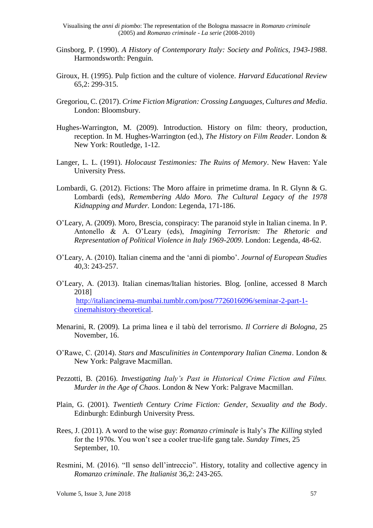Visualising the *anni di piombo*: The representation of the Bologna massacre in *Romanzo criminale* (2005) and *Romanzo criminale - La serie* (2008-2010)

- Ginsborg, P. (1990). *A History of Contemporary Italy: Society and Politics, 1943-1988*. Harmondsworth: Penguin.
- Giroux, H. (1995). Pulp fiction and the culture of violence. *Harvard Educational Review* 65,2: 299-315.
- Gregoriou, C. (2017). *Crime Fiction Migration: Crossing Languages, Cultures and Media*. London: Bloomsbury.
- Hughes-Warrington, M. (2009). Introduction. History on film: theory, production, reception. In M. Hughes-Warrington (ed.), *The History on Film Reader*. London & New York: Routledge, 1-12.
- Langer, L. L. (1991). *Holocaust Testimonies: The Ruins of Memory*. New Haven: Yale University Press.
- Lombardi, G. (2012). Fictions: The Moro affaire in primetime drama. In R. Glynn & G. Lombardi (eds), *Remembering Aldo Moro. The Cultural Legacy of the 1978 Kidnapping and Murder.* London: Legenda, 171-186.
- O'Leary, A. (2009). Moro, Brescia, conspiracy: The paranoid style in Italian cinema. In P. Antonello & A. O'Leary (eds), *Imagining Terrorism: The Rhetoric and Representation of Political Violence in Italy 1969-2009*. London: Legenda, 48-62.
- O'Leary, A. (2010). Italian cinema and the 'anni di piombo'. *Journal of European Studies* 40,3: 243-257.
- O'Leary, A. (2013). Italian cinemas/Italian histories. Blog. [online, accessed 8 March 2018] [http://italiancinema-mumbai.tumblr.com/post/7726016096/seminar-2-part-1](http://italiancinema-mumbai.tumblr.com/post/7726016096/seminar-2-part-1-cinemahistory-theoretical) [cinemahistory-theoretical.](http://italiancinema-mumbai.tumblr.com/post/7726016096/seminar-2-part-1-cinemahistory-theoretical)
- Menarini, R. (2009). La prima linea e il tabù del terrorismo. *Il Corriere di Bologna*, 25 November, 16.
- O'Rawe, C. (2014). *Stars and Masculinities in Contemporary Italian Cinema*. London & New York: Palgrave Macmillan.
- Pezzotti, B. (2016). *Investigating Italy's Past in Historical Crime Fiction and Films. Murder in the Age of Chaos*. London & New York: Palgrave Macmillan.
- Plain, G. (2001). *Twentieth Century Crime Fiction: Gender, Sexuality and the Body*. Edinburgh: Edinburgh University Press.
- Rees, J. (2011). A word to the wise guy: *Romanzo criminale* is Italy's *The Killing* styled for the 1970s. You won't see a cooler true-life gang tale. *Sunday Times*, 25 September, 10.
- Resmini, M. (2016). "Il senso dell'intreccio". History, totality and collective agency in *Romanzo criminale*. *The Italianist* 36,2: 243-265.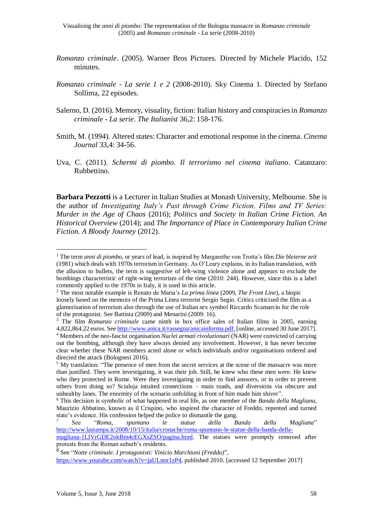- *Romanzo criminale*. (2005). Warner Bros Pictures. Directed by Michele Placido, 152 minutes.
- *Romanzo criminale - La serie 1 e 2* (2008-2010). Sky Cinema 1. Directed by Stefano Sollima, 22 episodes.
- Salerno, D. (2016). Memory, visuality, fiction: Italian history and conspiracies in *Romanzo criminale - La serie*. *The Italianist* 36,2: 158-176.
- Smith, M. (1994). Altered states: Character and emotional response in the cinema. *Cinema Journal* 33,4: 34-56.
- Uva, C. (2011)*. Schermi di piombo. Il terrorismo nel cinema italiano*. Catanzaro: Rubbettino.

**Barbara Pezzotti** is a Lecturer in Italian Studies at Monash University, Melbourne. She is the author of *Investigating Italy's Past through Crime Fiction, Films and TV Series: Murder in the Age of Chaos* (2016); *Politics and Society in Italian Crime Fiction. An Historical Overview* (2014); and *The Importance of Place in Contemporary Italian Crime Fiction. A Bloody Journey* (2012).

<u>.</u>

<sup>1</sup> The term *anni di piombo*, or years of lead, is inspired by Margarethe von Trotta's film *Die bleierne zeit* (1981) which deals with 1970s terrorism in Germany. As O'Leary explains, in its Italian translation, with the allusion to bullets, the term is suggestive of left-wing violence alone and appears to exclude the bombings characteristic of right-wing terrorism of the time (2010: 244). However, since this is a label commonly applied to the 1970s in Italy, it is used in this article.

<sup>2</sup> The most notable example is Renato de Maria's *La prima linea* (2009, *The Front Line*), a biopic loosely based on the memoirs of the Prima Linea terrorist Sergio Segio. Critics criticised the film as a glamorisation of terrorism also through the use of Italian sex symbol Riccardo Scamarcio for the role of the protagonist. See Battista (2009) and Menarini (2009: 16).

<sup>3</sup> The film *Romanzo criminale* came ninth in box office sales of Italian films in 2005, earning 4,822,864.22 euros. Se[e http://www.anica.it/rassegna/anicainforma.pdf.](http://www.anica.it/rassegna/anicainforma.pdf) [online, accessed 30 June 2017]. <sup>4</sup> Members of the neo-fascist organisation *Nuclei armati rivoluzionari* (NAR) were convicted of carrying out the bombing, although they have always denied any involvement. However, it has never become clear whether these NAR members acted alone or which individuals and/or organisations ordered and directed the attack (Bolognesi 2016).

<sup>&</sup>lt;sup>5</sup> My translation: "The presence of men from the secret services at the scene of the massacre was more than justified. They were investigating, it was their job. Still, he knew who these men were. He knew who they protected in Rome. Were they investigating in order to find answers, or in order to prevent others from doing so? Scialoja intuited connections – main roads, and diversions via obscure and unhealthy lanes. The enormity of the scenario unfolding in front of him made him shiver".

<sup>6</sup> This decision is symbolic of what happened in real life, as one member of the *Banda della Magliana*, Maurizio Abbatino, known as il Crispino, who inspired the character of Freddo, repented and turned state's evidence. His confession helped the police to dismantle the gang.

<sup>7</sup> See "*Roma, spuntano le statue della Banda della Magliana*" [http://www.lastampa.it/2008/10/15/italia/cronache/roma-spuntano-le-statue-della-banda-della-](http://www.lastampa.it/2008/10/15/italia/cronache/roma-spuntano-le-statue-della-banda-della-magliana-1LIVrGDE2okBm4cEGXsZSO/pagina.html)

[magliana-1LIVrGDE2okBm4cEGXsZSO/pagina.html.](http://www.lastampa.it/2008/10/15/italia/cronache/roma-spuntano-le-statue-della-banda-della-magliana-1LIVrGDE2okBm4cEGXsZSO/pagina.html) The statues were promptly removed after protests from the Roman suburb's residents.

<sup>8</sup> See "*Notte criminale. I protagonisti: Vinicio Marchioni (Freddo)*",

[https://www.youtube.com/watch?v=jaULnor1zP4,](https://www.youtube.com/watch?v=jaULnor1zP4) published 2010. [accessed 12 September 2017]